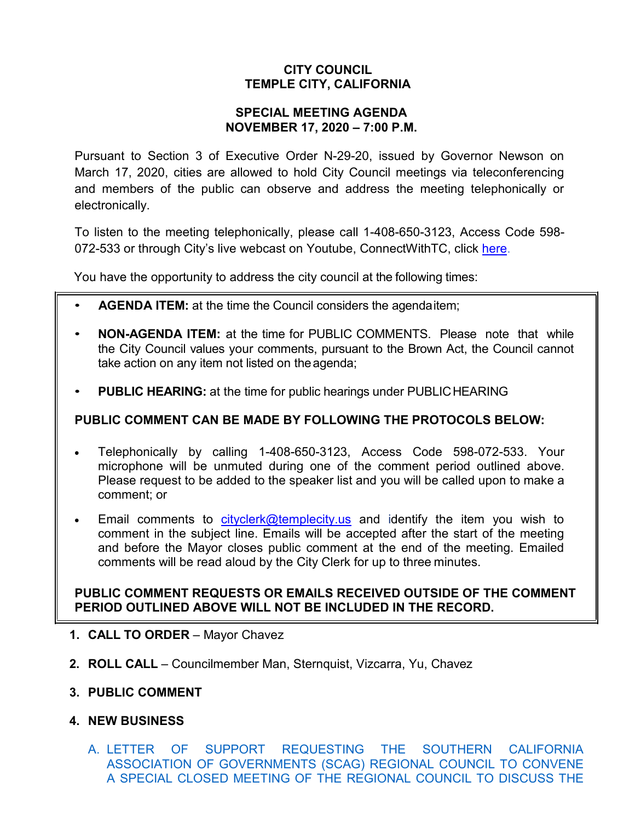# **CITY COUNCIL TEMPLE CITY, CALIFORNIA**

#### **SPECIAL MEETING AGENDA NOVEMBER 17, 2020 – 7:00 P.M.**

Pursuant to Section 3 of Executive Order N-29-20, issued by Governor Newson on March 17, 2020, cities are allowed to hold City Council meetings via teleconferencing and members of the public can observe and address the meeting telephonically or electronically.

To listen to the meeting telephonically, please call 1-408-650-3123, Access Code 598 072-533 or through City's live webcast on Youtube, ConnectWithTC, click [here.](https://www.ci.temple-city.ca.us/516/Meeting-Webcast)

You have the opportunity to address the city council at the following times:

- **AGENDA ITEM:** at the time the Council considers the agendaitem;
- **NON-AGENDA ITEM:** at the time for PUBLIC COMMENTS. Please note that while the City Council values your comments, pursuant to the Brown Act, the Council cannot take action on any item not listed on the agenda;
- **PUBLIC HEARING:** at the time for public hearings under PUBLICHEARING

### **PUBLIC COMMENT CAN BE MADE BY FOLLOWING THE PROTOCOLS BELOW:**

- Telephonically by calling 1-408-650-3123, Access Code 598-072-533. Your microphone will be unmuted during one of the comment period outlined above. Please request to be added to the speaker list and you will be called upon to make a comment; or
- Email comments to [cityclerk@templecity.us](mailto:cityclerk@templecity.us) and identify the item you wish to comment in the subject line. Emails will be accepted after the start of the meeting and before the Mayor closes public comment at the end of the meeting. Emailed comments will be read aloud by the City Clerk for up to three minutes.

### **PUBLIC COMMENT REQUESTS OR EMAILS RECEIVED OUTSIDE OF THE COMMENT PERIOD OUTLINED ABOVE WILL NOT BE INCLUDED IN THE RECORD.**

- **1. CALL TO ORDER**  Mayor Chavez
- **2. ROLL CALL**  Councilmember Man, Sternquist, Vizcarra, Yu, Chavez
- **3. PUBLIC COMMENT**
- **4. NEW BUSINESS**
	- A. [LETTER OF SUPPORT REQUESTING THE SOUTHERN CALIFORNIA](https://ca-templecity.civicplus.com/DocumentCenter/View/15363/02_4A_Letter-of-Support-requesting-SCAG-Council-to-convene-a-spcial-closed-meeting_Staff-Report---FINAL)  [ASSOCIATION OF GOVERNMENTS \(SCAG\) REGIONAL COUNCIL TO CONVENE](https://ca-templecity.civicplus.com/DocumentCenter/View/15363/02_4A_Letter-of-Support-requesting-SCAG-Council-to-convene-a-spcial-closed-meeting_Staff-Report---FINAL)  [A SPECIAL CLOSED MEETING OF THE REGIONAL COUNCIL TO DISCUSS THE](https://ca-templecity.civicplus.com/DocumentCenter/View/15363/02_4A_Letter-of-Support-requesting-SCAG-Council-to-convene-a-spcial-closed-meeting_Staff-Report---FINAL)